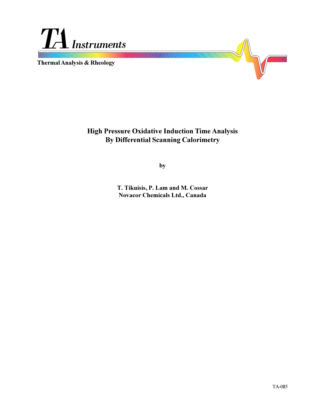

**Thermal Analysis & Rheology**



# **High Pressure Oxidative Induction Time Analysis By Differential Scanning Calorimetry**

**by**

**T. Tikuisis, P. Lam and M. Cossar Novacor Chemicals Ltd., Canada**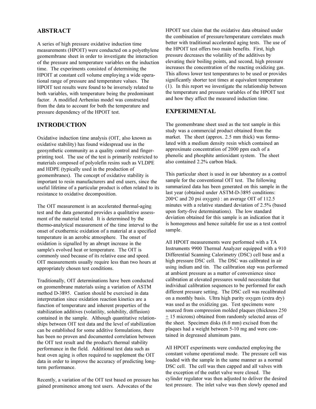## **ABSTRACT**

A series of high pressure oxidative induction time measurements (HPOIT) were conducted on a polyethylene geomembrane sheet in order to investigate the interaction of the pressure and temperature variables on the induction time. The experiments consisted of determining the HPOIT at constant cell volume employing a wide operational range of pressure and temperature values. The HPOIT test results were found to be inversely related to both variables, with temperature being the predominant factor. A modified Arrhenius model was constructed from the data to account for both the temperature and pressure dependency of the HPOIT test.

## **INTRODUCTION**

Oxidative induction time analysis (OIT, also known as oxidative stability) has found widespread use in the geosynthetic community as a quality control and fingerprinting tool. The use of the test is primarily restricted to materials composed of polyolefin resins such as VLDPE and HDPE (typically used in the production of geomembranes). The concept of oxidative stability is important to resin manufacturers and end users, since the useful lifetime of a particular product is often related to its resistance to oxidative decomposition.

The OIT measurement is an accelerated thermal-aging test and the data generated provides a qualitative assessment of the material tested. It is determined by the thermo-analytical measurement of the time interval to the onset of exothermic oxidation of a material at a specified temperature in an aerobic atmosphere. The onset of oxidation is signalled by an abrupt increase in the sample's evolved heat or temperature. The OIT is commonly used because of its relative ease and speed. OIT measurements usually require less than two hours at appropriately chosen test conditions.

Traditionally, OIT determinations have been conducted on geomembrane materials using a variation of ASTM method D-3895. Caution should be exercised in data interpretation since oxidation reaction kinetics are a function of temperature and inherent properties of the stabilization additives (volatility, solubility, diffusion) contained in the sample. Although quantitative relationships between OIT test data and the level of stabilization can be established for some additive formulations, there has been no proven and documented correlation between the OIT test result and the product's thermal stability performance in the field. Additional test data such as heat oven aging is often required to supplement the OIT data in order to improve the accuracy of predicting longterm performance.

Recently, a variation of the OIT test based on pressure has gained prominence among test users. Advocates of the

HPOIT test claim that the oxidative data obtained under the combination of pressure/temperature correlates much better with traditional accelerated aging tests. The use of the HPOIT test offers two main benefits. First, high pressure decreases the volatility of the additives by elevating their boiling points, and second, high pressure increases the concentration of the reacting oxidizing gas. This allows lower test temperatures to be used or provides significantly shorter test times at equivalent temperature (1). In this report we investigate the relationship between the temperature and pressure variables of the HPOIT test and how they affect the measured induction time.

## **EXPERIMENTAL**

The geomembrane sheet used as the test sample in this study was a commercial product obtained from the market. The sheet (approx. 2.5 mm thick) was formulated with a medium density resin which contained an approximate concentration of 2000 ppm each of a phenolic and phosphite antioxidant system. The sheet also contained 2.2% carbon black.

This particular sheet is used in our laboratory as a control sample for the conventional OIT test. The following summarized data has been generated on this sample in the last year (obtained under ASTM-D-3895 conditions: 200°C and 20 psi oxygen) : an average OIT of 112.5 minutes with a relative standard deviation of 2.5% (based upon forty-five determinations). The low standard deviation obtained for this sample is an indication that it is homogenous and hence suitable for use as a test control sample.

All HPOIT measurements were performed with a TA Instruments 9900 Thermal Analyzer equipped with a 910 Differential Scanning Calorimetry (DSC) cell base and a high pressure DSC cell. The DSC was calibrated in air using indium and tin. The calibration step was performed at ambient pressure as a matter of convenience since calibration at elevated pressures would necessitate that individual calibration sequences to be performed for each different pressure setting. The DSC cell was recalibrated on a monthly basis. Ultra high purity oxygen (extra dry) was used as the oxidizing gas. Test specimens were sourced from compression molded plaques (thickness 250 + 15 microns) obtained from randomly selected areas of the sheet. Specimen disks (6.0 mm) excised from the plaques had a weight between 5-10 mg and were contained in degreased aluminum pans.

All HPOIT experiments were conducted employing the constant volume operational mode. The pressure cell was loaded with the sample in the same manner as a normal DSC cell. The cell was then capped and all valves with the exception of the outlet valve were closed. The cylinder regulator was then adjusted to deliver the desired test pressure. The inlet valve was then slowly opened and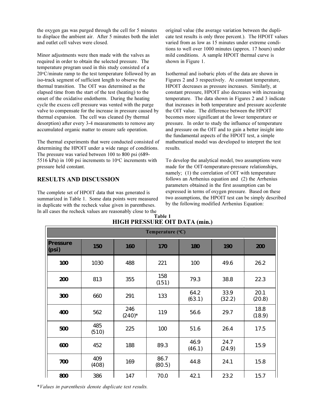the oxygen gas was purged through the cell for 5 minutes to displace the ambient air. After 5 minutes both the inlet and outlet cell valves were closed.

Minor adjustments were then made with the valves as required in order to obtain the selected pressure. The temperature program used in this study consisted of a 20°C/minute ramp to the test temperature followed by an iso-track segment of sufficient length to observe the thermal transition. The OIT was determined as the elapsed time from the start of the test (heating) to the onset of the oxidative endotherm. During the heating cycle the excess cell pressure was vented with the purge valve to compensate for the increase in pressure caused by thermal expansion. The cell was cleaned (by thermal desorption) after every 3-4 measurements to remove any accumulated organic matter to ensure safe operation.

The thermal experiments that were conducted consisted of determining the HPOIT under a wide range of conditions. The pressure was varied between 100 to 800 psi (689- 5516 kPa) in 100 psi increments to  $10^{\circ}$ C increments with pressure held constant.

## **RESULTS AND DISCUSSION**

The complete set of HPOIT data that was generated is summarized in Table 1. Some data points were measured in duplicate with the recheck value given in parentheses. In all cases the recheck values are reasonably close to the

original value (the average variation between the duplicate test results is only three percent.). The HPOIT values varied from as low as 15 minutes under extreme conditions to well over 1000 minutes (approx. 17 hours) under mild conditions. A sample HPOIT thermal curve is shown in Figure 1.

Isothermal and isobaric plots of the data are shown in Figures 2 and 3 respectively. At constant temperature, HPOIT decreases as pressure increases. Similarly, at constant pressure, HPOIT also decreases with increasing temperature. The data shown in Figures 2 and 3 indicate that increases in both temperature and pressure accelerate the OIT value. The difference between the HPOIT becomes more significant at the lower temperature or pressure. In order to study the influence of temperature and pressure on the OIT and to gain a better insight into the fundamental aspects of the HPOIT test, a simple mathematical model was developed to interpret the test results.

To develop the analytical model, two assumptions were made for the OIT-temperature-pressure relationships, namely; (1) the correlation of OIT with temperature follows an Arrhenius equation and (2) the Arrhenius parameters obtained in the first assumption can be expressed in terms of oxygen pressure. Based on these two assumptions, the HPOIT test can be simply described by the following modified Arrhenius Equation:

| $\frac{1}{2}$<br>Temperature (°C) |              |                    |                |                |                |                |
|-----------------------------------|--------------|--------------------|----------------|----------------|----------------|----------------|
|                                   |              |                    |                |                |                |                |
| <b>Pressure</b><br>(psi)          | 150          | 160                | 170            | 180            | 190            | 200            |
| 100                               | 1030         | 488                | 221            | 100            | 49.6           | 26.2           |
| 200                               | 813          | 355                | 158<br>(151)   | 79.3           | 38.8           | 22.3           |
| 300                               | 660          | 291                | 133            | 64.2<br>(63.1) | 33.9<br>(32.2) | 20.1<br>(20.8) |
| 400                               | 562          | 246<br>$(240)^{*}$ | 119            | 56.6           | 29.7           | 18.8<br>(18.9) |
| 500                               | 485<br>(510) | 225                | 100            | 51.6           | 26.4           | 17.5           |
| 600                               | 452          | 188                | 89.3           | 46.9<br>(46.1) | 24.7<br>(24.9) | 15.9           |
| 700                               | 409<br>(408) | 169                | 86.7<br>(80.5) | 44.8           | 24.1           | 15.8           |
| 800                               | 386          | 147                | 70.0           | 42.1           | 23.2           | 15.7           |

**HIGH PRESSURE OIT DATA (min.) Table 1**

\**Values in parenthesis denote duplicate test results.*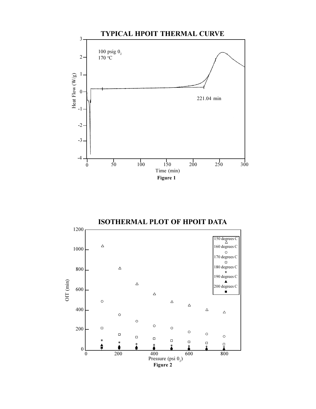

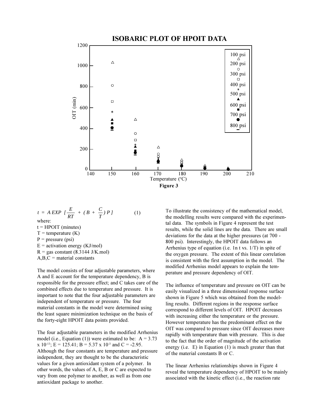

$$
t = A EXP \left[ \frac{E}{RT} + (B + \frac{C}{T}) P \right]
$$
  
where:  
t = HPOIT (minutes)  
T = temperature (K)  
P = pressure (psi)  
E = activation energy (KJ/mol)  
R = gas constant (8.3144 J/K.mol)  
A,B,C = material constants

The model consists of four adjustable parameters, where A and E account for the temperature dependency, B is responsible for the pressure effect; and C takes care of the combined effects due to temperature and pressure. It is important to note that the four adjustable parameters are independent of temperature or pressure. The four material constants in the model were determined using the least square minimization technique on the basis of the forty-eight HPOIT data points provided.

The four adjustable parameters in the modified Arrhenius model (i.e., Equation (1)) were estimated to be:  $A = 3.73$  $x 10^{-13}$ ; E = 125.41; B = 5.37 x 10<sup>-3</sup> and C = -2.95. Although the four constants are temperature and pressure independent, they are thought to be the characteristic values for a given antioxidant system of a polymer. In other words, the values of A, E, B or C are expected to vary from one polymer to another, as well as from one antioxidant package to another.

To illustrate the consistency of the mathematical model, the modelling results were compared with the experimental data. The symbols in Figure 4 represent the test results, while the solid lines are the data. There are small deviations for the data at the higher pressures (at 700 - 800 psi). Interestingly, the HPOIT data follows an Arrhenius type of equation (i.e. 1n t vs. 1/T) in spite of the oxygen pressure. The extent of this linear correlation is consistent with the first assumption in the model. The modified Arrhenius model appears to explain the temperature and pressure dependency of OIT.

The influence of temperature and pressure on OIT can be easily visualized in a three dimensional response surface shown in Figure 5 which was obtained from the modelling results. Different regions in the response surface correspond to different levels of OIT. HPOIT decreases with increasing either the temperature or the pressure. However temperature has the predominant effect on the OIT was compared to pressure since OIT decreases more rapidly with temperature than with pressure. This is due to the fact that the order of magnitude of the activation energy (i.e. E) in Equation (1) is much greater than that of the material constants B or C.

The linear Arrhenius relationships shown in Figure 4 reveal the temperature dependency of HPOIT to be mainly associated with the kinetic effect (i.e., the reaction rate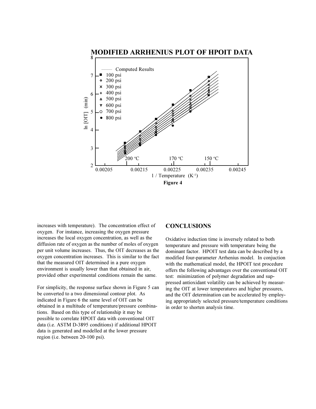

increases with temperature). The concentration effect of oxygen. For instance, increasing the oxygen pressure increases the local oxygen concentration, as well as the diffusion rate of oxygen as the number of moles of oxygen per unit volume increases. Thus, the OIT decreases as the oxygen concentration increases. This is similar to the fact that the measured OIT determined in a pure oxygen environment is usually lower than that obtained in air, provided other experimental conditions remain the same.

For simplicity, the response surface shown in Figure 5 can be converted to a two dimensional contour plot. As indicated in Figure 6 the same level of OIT can be obtained in a multitude of temperature/pressure combinations. Based on this type of relationship it may be possible to correlate HPOIT data with conventional OIT data (i.e. ASTM D-3895 conditions) if additional HPOIT data is generated and modelled at the lower pressure region (i.e. between 20-100 psi).

#### **CONCLUSIONS**

Oxidative induction time is inversely related to both temperature and pressure with temperature being the dominant factor. HPOIT test data can be described by a modified four-parameter Arrhenius model. In conjuction with the mathematical model, the HPOIT test procedure offers the following advantages over the conventional OIT test: minimization of polymer degradation and suppressed antioxidant volatility can be achieved by measuring the OIT at lower temperatures and higher pressures, and the OIT determination can be accelerated by employing appropriately selected pressure/temperature conditions in order to shorten analysis time.